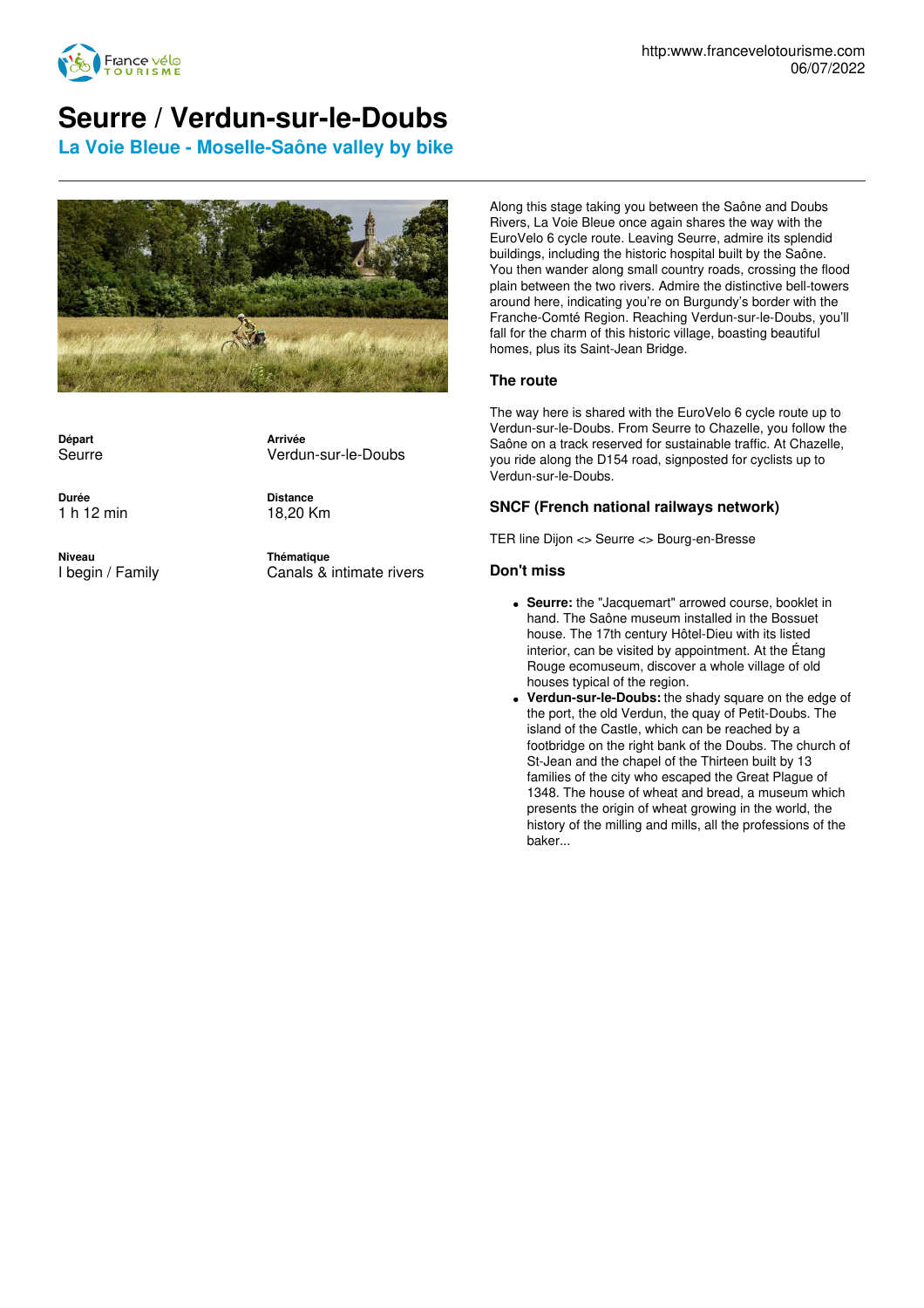

## **Seurre / Verdun-sur-le-Doubs**

**La Voie Bleue - Moselle-Saône valley by bike**



**Départ** Seurre **Arrivée** Verdun-sur-le-Doubs

**Durée** 1 h 12 min **Distance** 18,20 Km

**Niveau** I begin / Family **Thématique** Canals & intimate rivers

Along this stage taking you between the Saône and Doubs Rivers, La Voie Bleue once again shares the way with the EuroVelo 6 cycle route. Leaving Seurre, admire its splendid buildings, including the historic hospital built by the Saône. You then wander along small country roads, crossing the flood plain between the two rivers. Admire the distinctive bell-towers around here, indicating you're on Burgundy's border with the Franche-Comté Region. Reaching Verdun-sur-le-Doubs, you'll fall for the charm of this historic village, boasting beautiful homes, plus its Saint-Jean Bridge.

## **The route**

The way here is shared with the EuroVelo 6 cycle route up to Verdun-sur-le-Doubs. From Seurre to Chazelle, you follow the Saône on a track reserved for sustainable traffic. At Chazelle, you ride along the D154 road, signposted for cyclists up to Verdun-sur-le-Doubs.

## **SNCF (French national railways network)**

TER line Dijon <> Seurre <> Bourg-en-Bresse

## **Don't miss**

- **Seurre:** the "Jacquemart" arrowed course, booklet in hand. The Saône museum installed in the Bossuet house. The 17th century Hôtel-Dieu with its listed interior, can be visited by appointment. At the Étang Rouge ecomuseum, discover a whole village of old houses typical of the region.
- **Verdun-sur-le-Doubs:** the shady square on the edge of the port, the old Verdun, the quay of Petit-Doubs. The island of the Castle, which can be reached by a footbridge on the right bank of the Doubs. The church of St-Jean and the chapel of the Thirteen built by 13 families of the city who escaped the Great Plague of 1348. The house of wheat and bread, a museum which presents the origin of wheat growing in the world, the history of the milling and mills, all the professions of the baker...